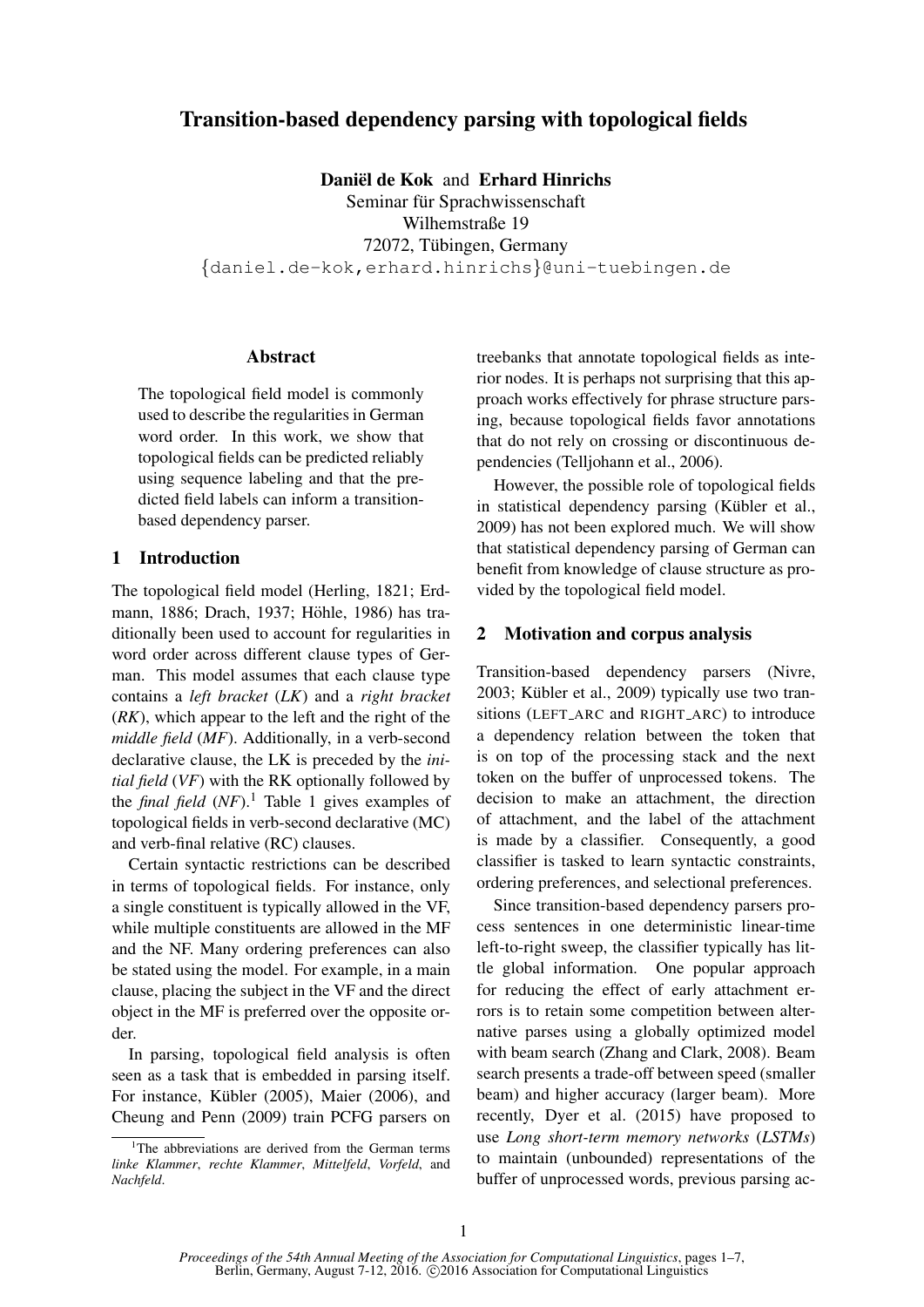# Transition-based dependency parsing with topological fields

Daniël de Kok and Erhard Hinrichs

Seminar für Sprachwissenschaft Wilhemstraße 19 72072, Tübingen, Germany {daniel.de-kok,erhard.hinrichs}@uni-tuebingen.de

### Abstract

The topological field model is commonly used to describe the regularities in German word order. In this work, we show that topological fields can be predicted reliably using sequence labeling and that the predicted field labels can inform a transitionbased dependency parser.

### 1 Introduction

The topological field model (Herling, 1821; Erdmann, 1886; Drach, 1937; Höhle, 1986) has traditionally been used to account for regularities in word order across different clause types of German. This model assumes that each clause type contains a *left bracket* (*LK*) and a *right bracket* (*RK*), which appear to the left and the right of the *middle field* (*MF*). Additionally, in a verb-second declarative clause, the LK is preceded by the *initial field* (*VF*) with the RK optionally followed by the *final field*  $(NF)$ .<sup>1</sup> Table 1 gives examples of topological fields in verb-second declarative (MC) and verb-final relative (RC) clauses.

Certain syntactic restrictions can be described in terms of topological fields. For instance, only a single constituent is typically allowed in the VF, while multiple constituents are allowed in the MF and the NF. Many ordering preferences can also be stated using the model. For example, in a main clause, placing the subject in the VF and the direct object in the MF is preferred over the opposite order.

In parsing, topological field analysis is often seen as a task that is embedded in parsing itself. For instance, Kübler (2005), Maier (2006), and Cheung and Penn (2009) train PCFG parsers on treebanks that annotate topological fields as interior nodes. It is perhaps not surprising that this approach works effectively for phrase structure parsing, because topological fields favor annotations that do not rely on crossing or discontinuous dependencies (Telljohann et al., 2006).

However, the possible role of topological fields in statistical dependency parsing (Kübler et al., 2009) has not been explored much. We will show that statistical dependency parsing of German can benefit from knowledge of clause structure as provided by the topological field model.

#### 2 Motivation and corpus analysis

Transition-based dependency parsers (Nivre,  $2003$ ; Kübler et al.,  $2009$ ) typically use two transitions (LEFT ARC and RIGHT ARC) to introduce a dependency relation between the token that is on top of the processing stack and the next token on the buffer of unprocessed tokens. The decision to make an attachment, the direction of attachment, and the label of the attachment is made by a classifier. Consequently, a good classifier is tasked to learn syntactic constraints, ordering preferences, and selectional preferences.

Since transition-based dependency parsers process sentences in one deterministic linear-time left-to-right sweep, the classifier typically has little global information. One popular approach for reducing the effect of early attachment errors is to retain some competition between alternative parses using a globally optimized model with beam search (Zhang and Clark, 2008). Beam search presents a trade-off between speed (smaller beam) and higher accuracy (larger beam). More recently, Dyer et al. (2015) have proposed to use *Long short-term memory networks* (*LSTMs*) to maintain (unbounded) representations of the buffer of unprocessed words, previous parsing ac-

<sup>&</sup>lt;sup>1</sup>The abbreviations are derived from the German terms *linke Klammer*, *rechte Klammer*, *Mittelfeld*, *Vorfeld*, and *Nachfeld*.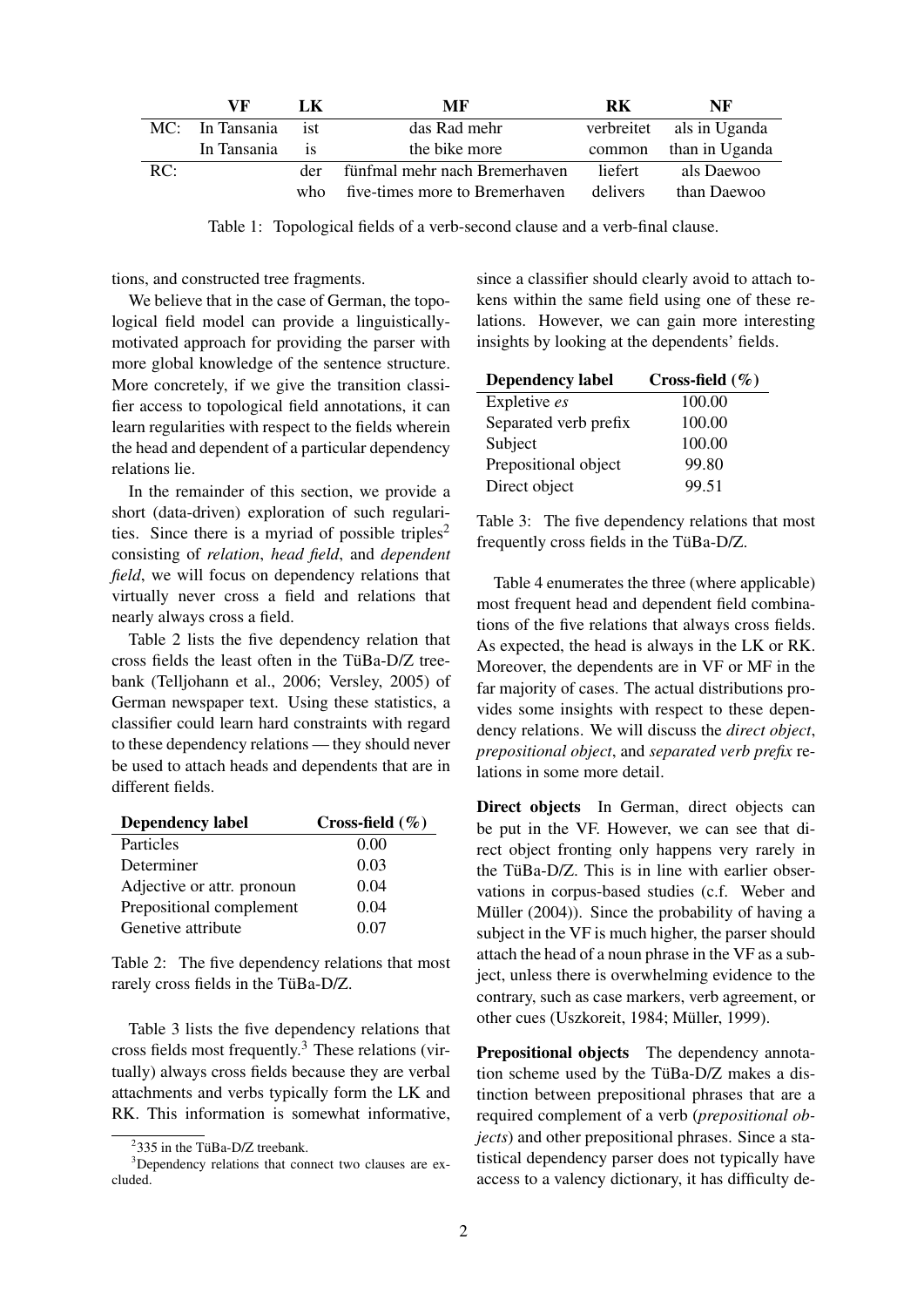|     | VF              | LK        | MF                             | <b>RK</b> | NF                       |
|-----|-----------------|-----------|--------------------------------|-----------|--------------------------|
|     | MC: In Tansania | ist       | das Rad mehr                   |           | verbreitet als in Uganda |
|     | In Tansania     | <b>1S</b> | the bike more                  | common    | than in Uganda           |
| RC: |                 | der       | fünfmal mehr nach Bremerhaven  | liefert   | als Daewoo               |
|     |                 | who.      | five-times more to Bremerhaven | delivers  | than Daewoo              |

Table 1: Topological fields of a verb-second clause and a verb-final clause.

tions, and constructed tree fragments.

We believe that in the case of German, the topological field model can provide a linguisticallymotivated approach for providing the parser with more global knowledge of the sentence structure. More concretely, if we give the transition classifier access to topological field annotations, it can learn regularities with respect to the fields wherein the head and dependent of a particular dependency relations lie.

In the remainder of this section, we provide a short (data-driven) exploration of such regularities. Since there is a myriad of possible triples<sup>2</sup> consisting of *relation*, *head field*, and *dependent field*, we will focus on dependency relations that virtually never cross a field and relations that nearly always cross a field.

Table 2 lists the five dependency relation that cross fields the least often in the TüBa- $D/Z$  treebank (Telljohann et al., 2006; Versley, 2005) of German newspaper text. Using these statistics, a classifier could learn hard constraints with regard to these dependency relations — they should never be used to attach heads and dependents that are in different fields.

| <b>Dependency label</b>    | Cross-field $(\% )$ |
|----------------------------|---------------------|
| Particles                  | 0.00                |
| Determiner                 | 0.03                |
| Adjective or attr. pronoun | 0.04                |
| Prepositional complement   | 0.04                |
| Genetive attribute         | 0.07                |

Table 2: The five dependency relations that most rarely cross fields in the TüBa-D/Z.

Table 3 lists the five dependency relations that cross fields most frequently.<sup>3</sup> These relations (virtually) always cross fields because they are verbal attachments and verbs typically form the LK and RK. This information is somewhat informative,

since a classifier should clearly avoid to attach tokens within the same field using one of these relations. However, we can gain more interesting insights by looking at the dependents' fields.

| <b>Dependency label</b> | Cross-field $(\% )$ |
|-------------------------|---------------------|
| Expletive es            | 100.00              |
| Separated verb prefix   | 100.00              |
| Subject                 | 100.00              |
| Prepositional object    | 99.80               |
| Direct object           | 99.51               |

Table 3: The five dependency relations that most frequently cross fields in the TüBa-D/Z.

Table 4 enumerates the three (where applicable) most frequent head and dependent field combinations of the five relations that always cross fields. As expected, the head is always in the LK or RK. Moreover, the dependents are in VF or MF in the far majority of cases. The actual distributions provides some insights with respect to these dependency relations. We will discuss the *direct object*, *prepositional object*, and *separated verb prefix* relations in some more detail.

Direct objects In German, direct objects can be put in the VF. However, we can see that direct object fronting only happens very rarely in the TüBa-D/Z. This is in line with earlier observations in corpus-based studies (c.f. Weber and Müller (2004)). Since the probability of having a subject in the VF is much higher, the parser should attach the head of a noun phrase in the VF as a subject, unless there is overwhelming evidence to the contrary, such as case markers, verb agreement, or other cues (Uszkoreit, 1984; Müller, 1999).

Prepositional objects The dependency annotation scheme used by the TüBa-D/Z makes a distinction between prepositional phrases that are a required complement of a verb (*prepositional objects*) and other prepositional phrases. Since a statistical dependency parser does not typically have access to a valency dictionary, it has difficulty de-

 $2335$  in the TüBa-D/Z treebank.

<sup>&</sup>lt;sup>3</sup>Dependency relations that connect two clauses are excluded.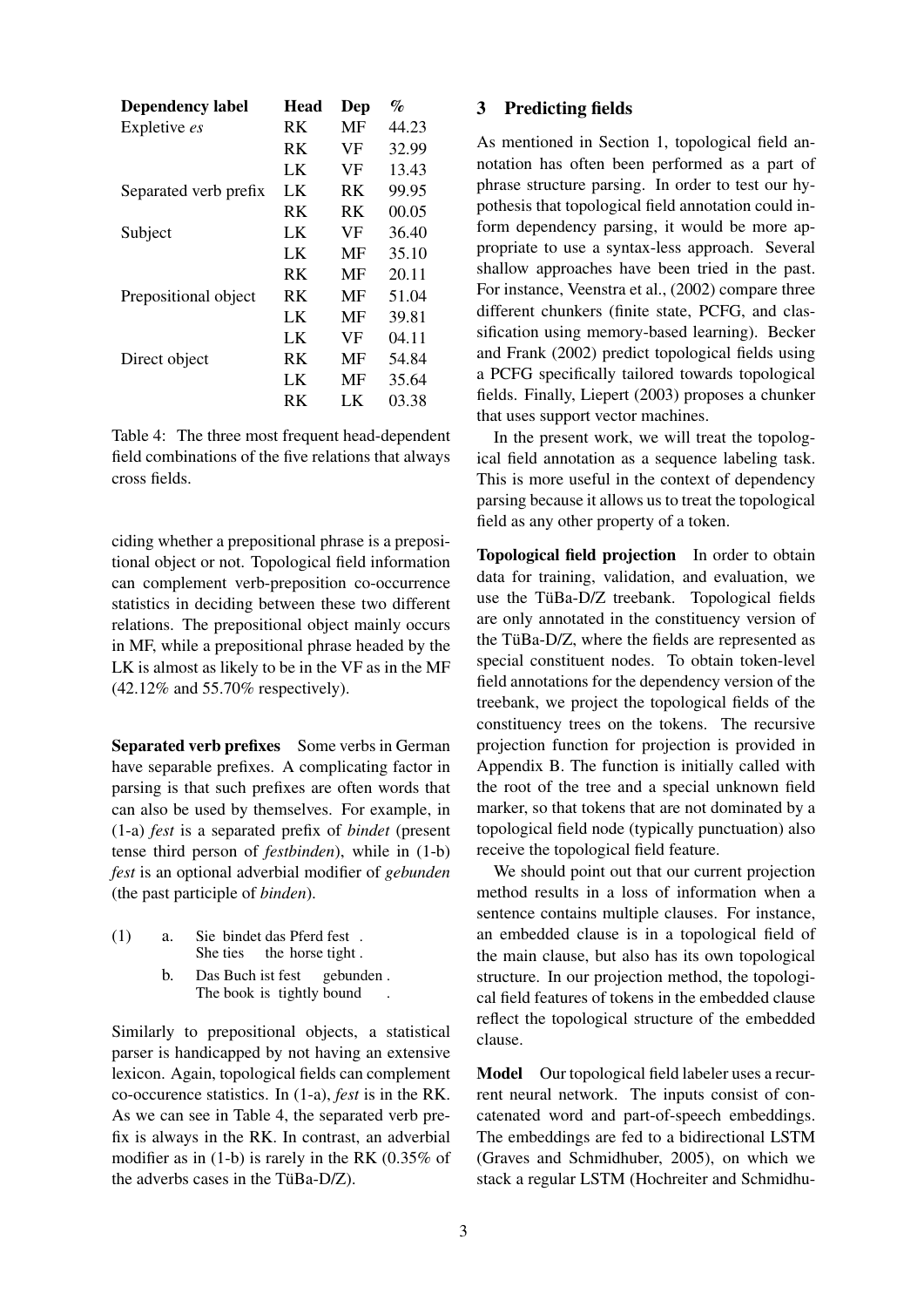| <b>Dependency label</b> | Head | Dep | $\mathcal{G}_{\Omega}$ |
|-------------------------|------|-----|------------------------|
| Expletive es            | RK   | MF  | 44.23                  |
|                         | RK   | VF  | 32.99                  |
|                         | LK   | VF  | 13.43                  |
| Separated verb prefix   | LK   | RK  | 99.95                  |
|                         | RK   | RK  | 00.05                  |
| Subject                 | LK   | VF  | 36.40                  |
|                         | LK   | MF  | 35.10                  |
|                         | RK   | MF  | 20.11                  |
| Prepositional object    | RK.  | MF  | 51.04                  |
|                         | LK   | MF  | 39.81                  |
|                         | LK   | VF  | 04.11                  |
| Direct object           | RK   | MF  | 54.84                  |
|                         | LK   | MF  | 35.64                  |
|                         | RK   | LK  | 03.38                  |

Table 4: The three most frequent head-dependent field combinations of the five relations that always cross fields.

ciding whether a prepositional phrase is a prepositional object or not. Topological field information can complement verb-preposition co-occurrence statistics in deciding between these two different relations. The prepositional object mainly occurs in MF, while a prepositional phrase headed by the LK is almost as likely to be in the VF as in the MF (42.12% and 55.70% respectively).

Separated verb prefixes Some verbs in German have separable prefixes. A complicating factor in parsing is that such prefixes are often words that can also be used by themselves. For example, in (1-a) *fest* is a separated prefix of *bindet* (present tense third person of *festbinden*), while in (1-b) *fest* is an optional adverbial modifier of *gebunden* (the past participle of *binden*).

| (1) |  |  | a. Sie bindet das Pferd fest. |  |
|-----|--|--|-------------------------------|--|
|     |  |  | She ties the horse tight.     |  |

b. Das Buch ist fest The book is tightly bound gebunden . .

Similarly to prepositional objects, a statistical parser is handicapped by not having an extensive lexicon. Again, topological fields can complement co-occurence statistics. In (1-a), *fest* is in the RK. As we can see in Table 4, the separated verb prefix is always in the RK. In contrast, an adverbial modifier as in (1-b) is rarely in the RK (0.35% of the adverbs cases in the TüBa-D/Z).

#### 3 Predicting fields

As mentioned in Section 1, topological field annotation has often been performed as a part of phrase structure parsing. In order to test our hypothesis that topological field annotation could inform dependency parsing, it would be more appropriate to use a syntax-less approach. Several shallow approaches have been tried in the past. For instance, Veenstra et al., (2002) compare three different chunkers (finite state, PCFG, and classification using memory-based learning). Becker and Frank (2002) predict topological fields using a PCFG specifically tailored towards topological fields. Finally, Liepert (2003) proposes a chunker that uses support vector machines.

In the present work, we will treat the topological field annotation as a sequence labeling task. This is more useful in the context of dependency parsing because it allows us to treat the topological field as any other property of a token.

Topological field projection In order to obtain data for training, validation, and evaluation, we use the TüBa-D/Z treebank. Topological fields are only annotated in the constituency version of the TüBa- $D/Z$ , where the fields are represented as special constituent nodes. To obtain token-level field annotations for the dependency version of the treebank, we project the topological fields of the constituency trees on the tokens. The recursive projection function for projection is provided in Appendix B. The function is initially called with the root of the tree and a special unknown field marker, so that tokens that are not dominated by a topological field node (typically punctuation) also receive the topological field feature.

We should point out that our current projection method results in a loss of information when a sentence contains multiple clauses. For instance, an embedded clause is in a topological field of the main clause, but also has its own topological structure. In our projection method, the topological field features of tokens in the embedded clause reflect the topological structure of the embedded clause.

Model Our topological field labeler uses a recurrent neural network. The inputs consist of concatenated word and part-of-speech embeddings. The embeddings are fed to a bidirectional LSTM (Graves and Schmidhuber, 2005), on which we stack a regular LSTM (Hochreiter and Schmidhu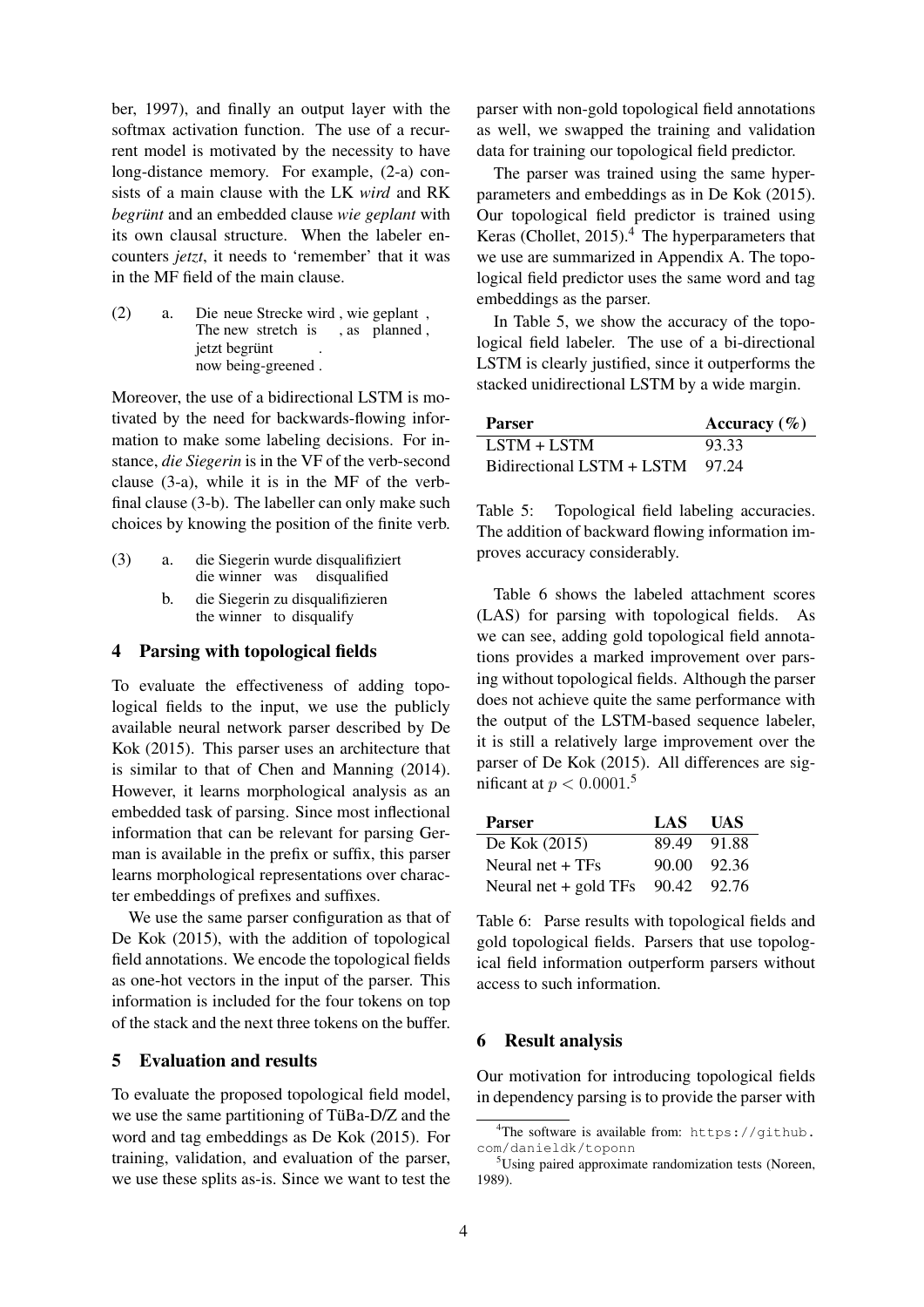ber, 1997), and finally an output layer with the softmax activation function. The use of a recurrent model is motivated by the necessity to have long-distance memory. For example, (2-a) consists of a main clause with the LK *wird* and RK *begrünt* and an embedded clause *wie geplant* with its own clausal structure. When the labeler encounters *jetzt*, it needs to 'remember' that it was in the MF field of the main clause.

(2) a. Die neue Strecke wird , wie geplant , The new stretch is , as planned, jetzt begrünt now being-greened . .

Moreover, the use of a bidirectional LSTM is motivated by the need for backwards-flowing information to make some labeling decisions. For instance, *die Siegerin* is in the VF of the verb-second clause (3-a), while it is in the MF of the verbfinal clause (3-b). The labeller can only make such choices by knowing the position of the finite verb.

- (3) a. die Siegerin wurde disqualifiziert die winner was disqualified b. die Siegerin zu disqualifizieren
	- the winner to disqualify

### 4 Parsing with topological fields

To evaluate the effectiveness of adding topological fields to the input, we use the publicly available neural network parser described by De Kok (2015). This parser uses an architecture that is similar to that of Chen and Manning (2014). However, it learns morphological analysis as an embedded task of parsing. Since most inflectional information that can be relevant for parsing German is available in the prefix or suffix, this parser learns morphological representations over character embeddings of prefixes and suffixes.

We use the same parser configuration as that of De Kok (2015), with the addition of topological field annotations. We encode the topological fields as one-hot vectors in the input of the parser. This information is included for the four tokens on top of the stack and the next three tokens on the buffer.

### 5 Evaluation and results

To evaluate the proposed topological field model, we use the same partitioning of TüBa- $D/Z$  and the word and tag embeddings as De Kok (2015). For training, validation, and evaluation of the parser, we use these splits as-is. Since we want to test the

parser with non-gold topological field annotations as well, we swapped the training and validation data for training our topological field predictor.

The parser was trained using the same hyperparameters and embeddings as in De Kok (2015). Our topological field predictor is trained using Keras (Chollet, 2015).<sup>4</sup> The hyperparameters that we use are summarized in Appendix A. The topological field predictor uses the same word and tag embeddings as the parser.

In Table 5, we show the accuracy of the topological field labeler. The use of a bi-directional LSTM is clearly justified, since it outperforms the stacked unidirectional LSTM by a wide margin.

| Parser                          | Accuracy $(\% )$ |
|---------------------------------|------------------|
| $LSTM + LSTM$                   | 93.33            |
| Bidirectional LSTM + LSTM 97.24 |                  |

Table 5: Topological field labeling accuracies. The addition of backward flowing information improves accuracy considerably.

Table 6 shows the labeled attachment scores (LAS) for parsing with topological fields. As we can see, adding gold topological field annotations provides a marked improvement over parsing without topological fields. Although the parser does not achieve quite the same performance with the output of the LSTM-based sequence labeler, it is still a relatively large improvement over the parser of De Kok (2015). All differences are significant at  $p < 0.0001$ .<sup>5</sup>

| <b>Parser</b>                       | LAS                 | <b>UAS</b> |
|-------------------------------------|---------------------|------------|
| De Kok $(2015)$                     | 89.49               | -91.88     |
| Neural net $+TFs$                   | $90.00 \quad 92.36$ |            |
| Neural net + gold TFs $90.42$ 92.76 |                     |            |

Table 6: Parse results with topological fields and gold topological fields. Parsers that use topological field information outperform parsers without access to such information.

### 6 Result analysis

Our motivation for introducing topological fields in dependency parsing is to provide the parser with

<sup>&</sup>lt;sup>4</sup>The software is available from: https://github. com/danieldk/toponn

 $5$ Using paired approximate randomization tests (Noreen, 1989).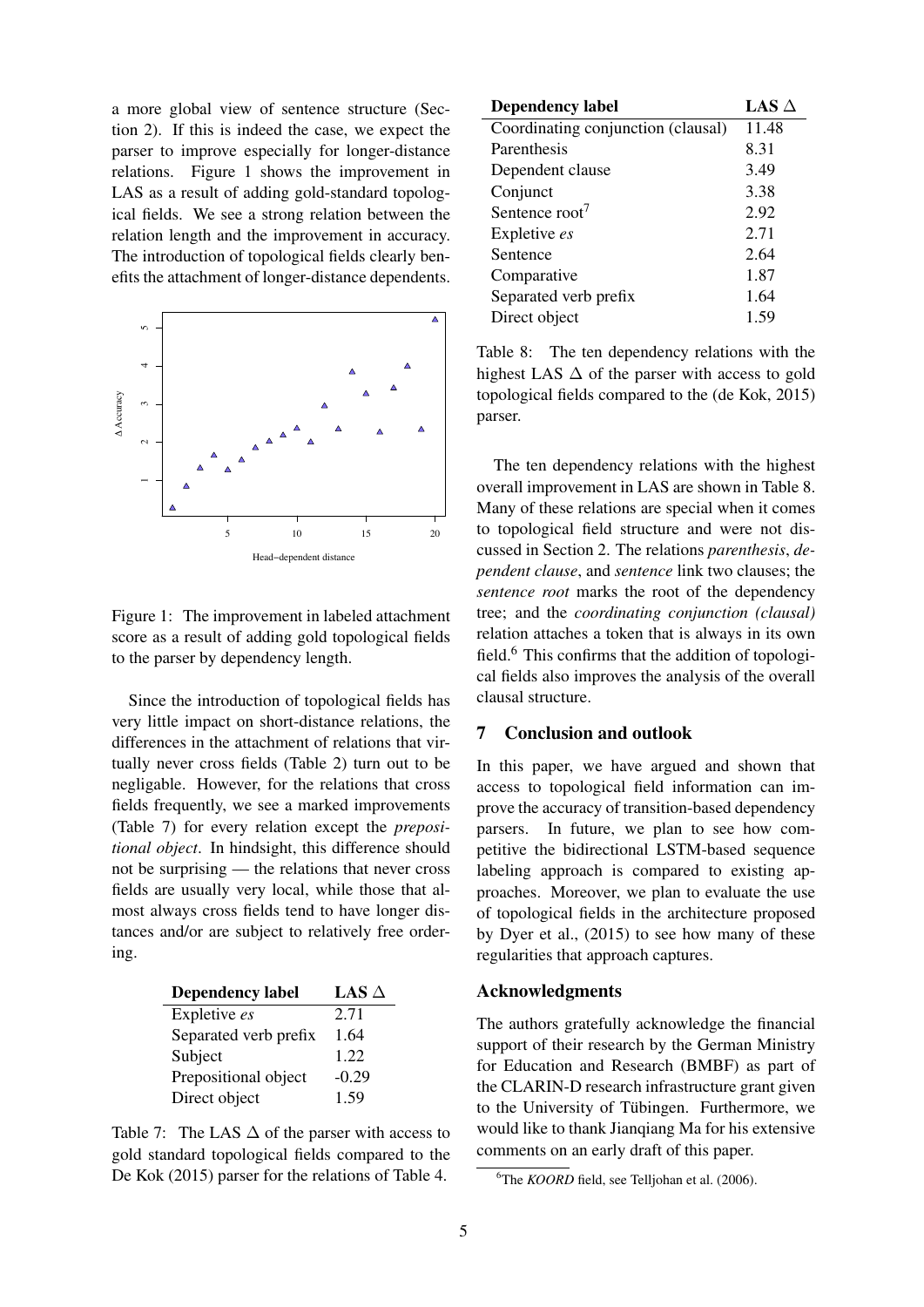a more global view of sentence structure (Section 2). If this is indeed the case, we expect the parser to improve especially for longer-distance relations. Figure 1 shows the improvement in LAS as a result of adding gold-standard topological fields. We see a strong relation between the relation length and the improvement in accuracy. The introduction of topological fields clearly benefits the attachment of longer-distance dependents.



Figure 1: The improvement in labeled attachment score as a result of adding gold topological fields to the parser by dependency length.

Since the introduction of topological fields has very little impact on short-distance relations, the differences in the attachment of relations that virtually never cross fields (Table 2) turn out to be negligable. However, for the relations that cross fields frequently, we see a marked improvements (Table 7) for every relation except the *prepositional object*. In hindsight, this difference should not be surprising — the relations that never cross fields are usually very local, while those that almost always cross fields tend to have longer distances and/or are subject to relatively free ordering.

| <b>Dependency label</b> | LAS $\Delta$ |
|-------------------------|--------------|
| Expletive es            | 2.71         |
| Separated verb prefix   | 1.64         |
| Subject                 | 1.22         |
| Prepositional object    | $-0.29$      |
| Direct object           | 1.59         |

Table 7: The LAS  $\Delta$  of the parser with access to gold standard topological fields compared to the De Kok (2015) parser for the relations of Table 4.

| <b>Dependency label</b>            | LAS $\Delta$ |
|------------------------------------|--------------|
| Coordinating conjunction (clausal) | 11.48        |
| Parenthesis                        | 8.31         |
| Dependent clause                   | 3.49         |
| Conjunct                           | 3.38         |
| Sentence root <sup>7</sup>         | 2.92         |
| Expletive es                       | 2.71         |
| Sentence                           | 2.64         |
| Comparative                        | 1.87         |
| Separated verb prefix              | 1.64         |
| Direct object                      | 1.59         |

Table 8: The ten dependency relations with the highest LAS  $\Delta$  of the parser with access to gold topological fields compared to the (de Kok, 2015) parser.

The ten dependency relations with the highest overall improvement in LAS are shown in Table 8. Many of these relations are special when it comes to topological field structure and were not discussed in Section 2. The relations *parenthesis*, *dependent clause*, and *sentence* link two clauses; the *sentence root* marks the root of the dependency tree; and the *coordinating conjunction (clausal)* relation attaches a token that is always in its own field.<sup>6</sup> This confirms that the addition of topological fields also improves the analysis of the overall clausal structure.

### 7 Conclusion and outlook

In this paper, we have argued and shown that access to topological field information can improve the accuracy of transition-based dependency parsers. In future, we plan to see how competitive the bidirectional LSTM-based sequence labeling approach is compared to existing approaches. Moreover, we plan to evaluate the use of topological fields in the architecture proposed by Dyer et al., (2015) to see how many of these regularities that approach captures.

#### Acknowledgments

The authors gratefully acknowledge the financial support of their research by the German Ministry for Education and Research (BMBF) as part of the CLARIN-D research infrastructure grant given to the University of Tübingen. Furthermore, we would like to thank Jianqiang Ma for his extensive comments on an early draft of this paper.

<sup>6</sup>The *KOORD* field, see Telljohan et al. (2006).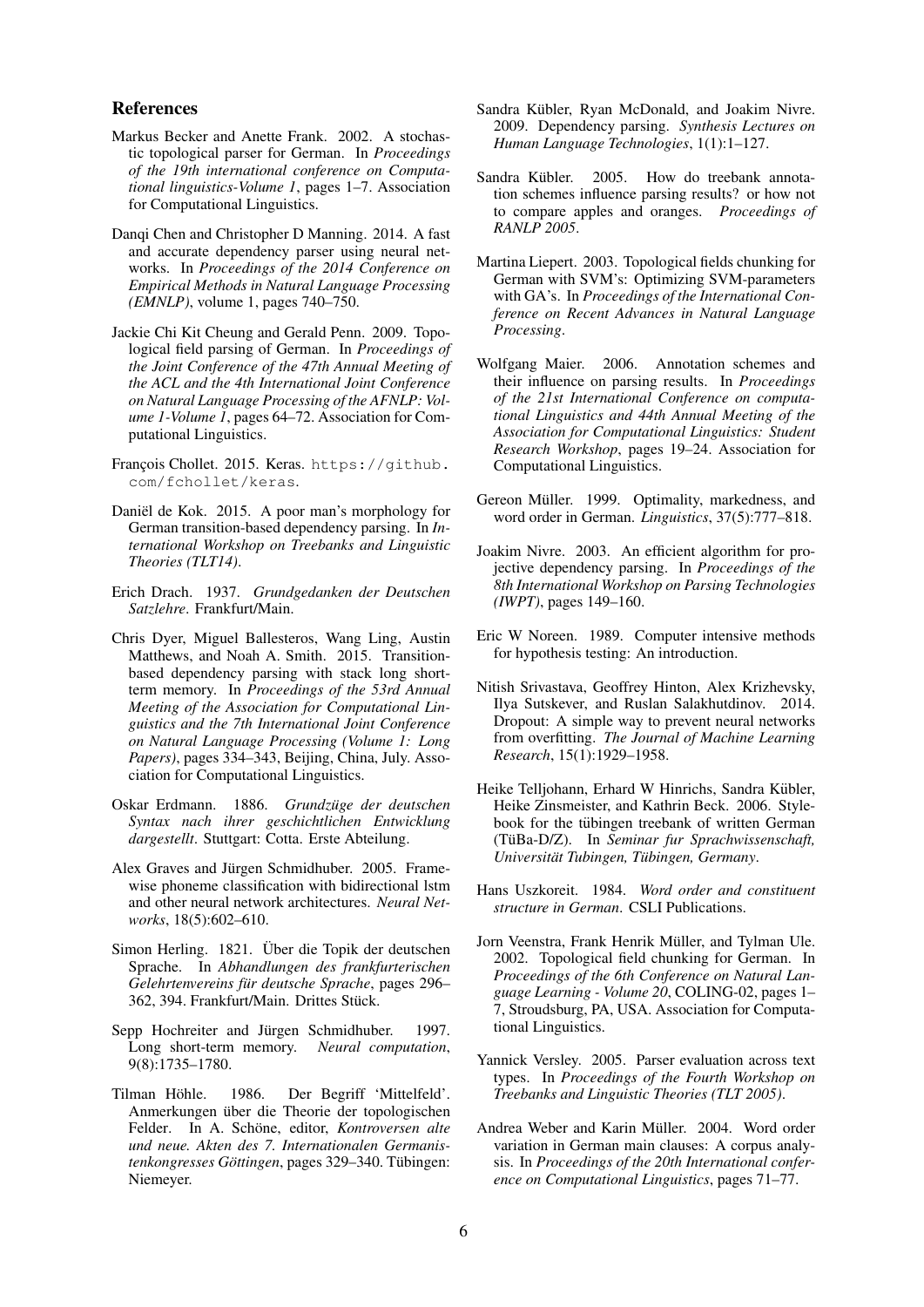#### References

- Markus Becker and Anette Frank. 2002. A stochastic topological parser for German. In *Proceedings of the 19th international conference on Computational linguistics-Volume 1*, pages 1–7. Association for Computational Linguistics.
- Danqi Chen and Christopher D Manning. 2014. A fast and accurate dependency parser using neural networks. In *Proceedings of the 2014 Conference on Empirical Methods in Natural Language Processing (EMNLP)*, volume 1, pages 740–750.
- Jackie Chi Kit Cheung and Gerald Penn. 2009. Topological field parsing of German. In *Proceedings of the Joint Conference of the 47th Annual Meeting of the ACL and the 4th International Joint Conference on Natural Language Processing of the AFNLP: Volume 1-Volume 1*, pages 64–72. Association for Computational Linguistics.
- François Chollet. 2015. Keras. https://github. com/fchollet/keras.
- Daniël de Kok. 2015. A poor man's morphology for German transition-based dependency parsing. In *International Workshop on Treebanks and Linguistic Theories (TLT14)*.
- Erich Drach. 1937. *Grundgedanken der Deutschen Satzlehre*. Frankfurt/Main.
- Chris Dyer, Miguel Ballesteros, Wang Ling, Austin Matthews, and Noah A. Smith. 2015. Transitionbased dependency parsing with stack long shortterm memory. In *Proceedings of the 53rd Annual Meeting of the Association for Computational Linguistics and the 7th International Joint Conference on Natural Language Processing (Volume 1: Long Papers)*, pages 334–343, Beijing, China, July. Association for Computational Linguistics.
- Oskar Erdmann. 1886. *Grundzüge der deutschen Syntax nach ihrer geschichtlichen Entwicklung dargestellt*. Stuttgart: Cotta. Erste Abteilung.
- Alex Graves and Jürgen Schmidhuber. 2005. Framewise phoneme classification with bidirectional lstm and other neural network architectures. *Neural Networks*, 18(5):602–610.
- Simon Herling. 1821. Über die Topik der deutschen Sprache. In *Abhandlungen des frankfurterischen Gelehrtenvereins für deutsche Sprache*, pages 296– 362, 394. Frankfurt/Main. Drittes Stück.
- Sepp Hochreiter and Jürgen Schmidhuber. 1997. Long short-term memory. *Neural computation*, 9(8):1735–1780.
- Tilman Höhle. 1986. Der Begriff 'Mittelfeld'. Anmerkungen über die Theorie der topologischen Felder. In A. Schöne, editor, Kontroversen alte *und neue. Akten des 7. Internationalen Germanistenkongresses Göttingen*, pages 329–340. Tübingen: Niemeyer.
- Sandra Kübler, Ryan McDonald, and Joakim Nivre. 2009. Dependency parsing. *Synthesis Lectures on Human Language Technologies*, 1(1):1–127.
- Sandra Kübler. 2005. How do treebank annotation schemes influence parsing results? or how not to compare apples and oranges. *Proceedings of RANLP 2005*.
- Martina Liepert. 2003. Topological fields chunking for German with SVM's: Optimizing SVM-parameters with GA's. In *Proceedings of the International Conference on Recent Advances in Natural Language Processing*.
- Wolfgang Maier. 2006. Annotation schemes and their influence on parsing results. In *Proceedings of the 21st International Conference on computational Linguistics and 44th Annual Meeting of the Association for Computational Linguistics: Student Research Workshop*, pages 19–24. Association for Computational Linguistics.
- Gereon Müller. 1999. Optimality, markedness, and word order in German. *Linguistics*, 37(5):777–818.
- Joakim Nivre. 2003. An efficient algorithm for projective dependency parsing. In *Proceedings of the 8th International Workshop on Parsing Technologies (IWPT)*, pages 149–160.
- Eric W Noreen. 1989. Computer intensive methods for hypothesis testing: An introduction.
- Nitish Srivastava, Geoffrey Hinton, Alex Krizhevsky, Ilya Sutskever, and Ruslan Salakhutdinov. 2014. Dropout: A simple way to prevent neural networks from overfitting. *The Journal of Machine Learning Research*, 15(1):1929–1958.
- Heike Telljohann, Erhard W Hinrichs, Sandra Kübler, Heike Zinsmeister, and Kathrin Beck. 2006. Stylebook for the tübingen treebank of written German (TüBa-D/Z). In Seminar fur Sprachwissenschaft,  $University$  *Universität Tubingen, Tübingen, Germany.*
- Hans Uszkoreit. 1984. *Word order and constituent structure in German*. CSLI Publications.
- Jorn Veenstra, Frank Henrik Müller, and Tylman Ule. 2002. Topological field chunking for German. In *Proceedings of the 6th Conference on Natural Language Learning - Volume 20*, COLING-02, pages 1– 7, Stroudsburg, PA, USA. Association for Computational Linguistics.
- Yannick Versley. 2005. Parser evaluation across text types. In *Proceedings of the Fourth Workshop on Treebanks and Linguistic Theories (TLT 2005)*.
- Andrea Weber and Karin Müller. 2004. Word order variation in German main clauses: A corpus analysis. In *Proceedings of the 20th International conference on Computational Linguistics*, pages 71–77.